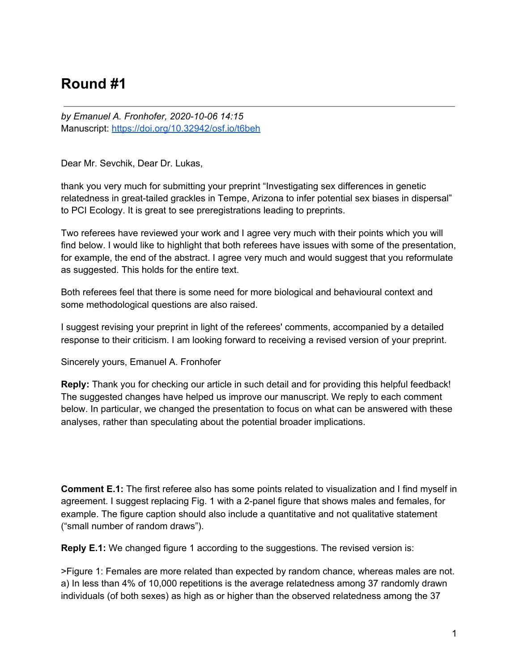## **Round #1**

*by Emanuel A. Fronhofer, 2020-10-06 14:15* Manuscript: <https://doi.org/10.32942/osf.io/t6beh>

Dear Mr. Sevchik, Dear Dr. Lukas,

thank you very much for submitting your preprint "Investigating sex differences in genetic relatedness in great-tailed grackles in Tempe, Arizona to infer potential sex biases in dispersal" to PCI Ecology. It is great to see preregistrations leading to preprints.

Two referees have reviewed your work and I agree very much with their points which you will find below. I would like to highlight that both referees have issues with some of the presentation, for example, the end of the abstract. I agree very much and would suggest that you reformulate as suggested. This holds for the entire text.

Both referees feel that there is some need for more biological and behavioural context and some methodological questions are also raised.

I suggest revising your preprint in light of the referees' comments, accompanied by a detailed response to their criticism. I am looking forward to receiving a revised version of your preprint.

Sincerely yours, Emanuel A. Fronhofer

**Reply:** Thank you for checking our article in such detail and for providing this helpful feedback! The suggested changes have helped us improve our manuscript. We reply to each comment below. In particular, we changed the presentation to focus on what can be answered with these analyses, rather than speculating about the potential broader implications.

**Comment E.1:** The first referee also has some points related to visualization and I find myself in agreement. I suggest replacing Fig. 1 with a 2-panel figure that shows males and females, for example. The figure caption should also include a quantitative and not qualitative statement ("small number of random draws").

**Reply E.1:** We changed figure 1 according to the suggestions. The revised version is:

>Figure 1: Females are more related than expected by random chance, whereas males are not. a) In less than 4% of 10,000 repetitions is the average relatedness among 37 randomly drawn individuals (of both sexes) as high as or higher than the observed relatedness among the 37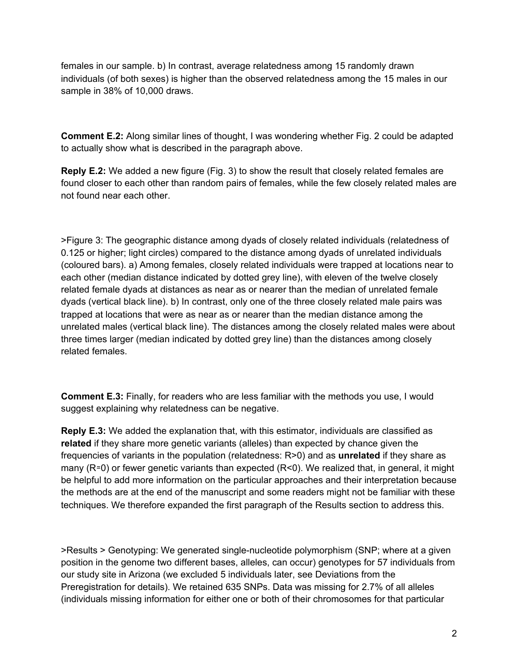females in our sample. b) In contrast, average relatedness among 15 randomly drawn individuals (of both sexes) is higher than the observed relatedness among the 15 males in our sample in 38% of 10,000 draws.

**Comment E.2:** Along similar lines of thought, I was wondering whether Fig. 2 could be adapted to actually show what is described in the paragraph above.

**Reply E.2:** We added a new figure (Fig. 3) to show the result that closely related females are found closer to each other than random pairs of females, while the few closely related males are not found near each other.

>Figure 3: The geographic distance among dyads of closely related individuals (relatedness of 0.125 or higher; light circles) compared to the distance among dyads of unrelated individuals (coloured bars). a) Among females, closely related individuals were trapped at locations near to each other (median distance indicated by dotted grey line), with eleven of the twelve closely related female dyads at distances as near as or nearer than the median of unrelated female dyads (vertical black line). b) In contrast, only one of the three closely related male pairs was trapped at locations that were as near as or nearer than the median distance among the unrelated males (vertical black line). The distances among the closely related males were about three times larger (median indicated by dotted grey line) than the distances among closely related females.

**Comment E.3:** Finally, for readers who are less familiar with the methods you use, I would suggest explaining why relatedness can be negative.

**Reply E.3:** We added the explanation that, with this estimator, individuals are classified as **related** if they share more genetic variants (alleles) than expected by chance given the frequencies of variants in the population (relatedness: R>0) and as **unrelated** if they share as many (R≃0) or fewer genetic variants than expected (R<0). We realized that, in general, it might be helpful to add more information on the particular approaches and their interpretation because the methods are at the end of the manuscript and some readers might not be familiar with these techniques. We therefore expanded the first paragraph of the Results section to address this.

>Results > Genotyping: We generated single-nucleotide polymorphism (SNP; where at a given position in the genome two different bases, alleles, can occur) genotypes for 57 individuals from our study site in Arizona (we excluded 5 individuals later, see Deviations from the Preregistration for details). We retained 635 SNPs. Data was missing for 2.7% of all alleles (individuals missing information for either one or both of their chromosomes for that particular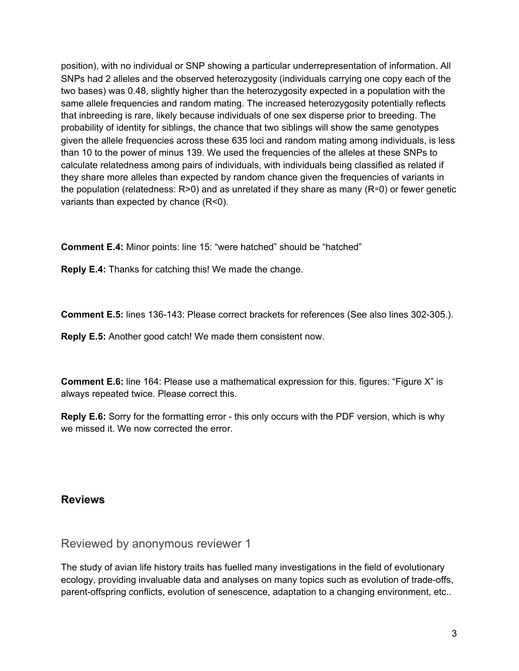position), with no individual or SNP showing a particular underrepresentation of information. All SNPs had 2 alleles and the observed heterozygosity (individuals carrying one copy each of the two bases) was 0.48, slightly higher than the heterozygosity expected in a population with the same allele frequencies and random mating. The increased heterozygosity potentially reflects that inbreeding is rare, likely because individuals of one sex disperse prior to breeding. The probability of identity for siblings, the chance that two siblings will show the same genotypes given the allele frequencies across these 635 loci and random mating among individuals, is less than 10 to the power of minus 139. We used the frequencies of the alleles at these SNPs to calculate relatedness among pairs of individuals, with individuals being classified as related if they share more alleles than expected by random chance given the frequencies of variants in the population (relatedness: R>0) and as unrelated if they share as many (R≃0) or fewer genetic variants than expected by chance (R<0).

**Comment E.4:** Minor points: line 15: "were hatched" should be "hatched"

**Reply E.4:** Thanks for catching this! We made the change.

**Comment E.5:** lines 136-143: Please correct brackets for references (See also lines 302-305.).

**Reply E.5:** Another good catch! We made them consistent now.

**Comment E.6:** line 164: Please use a mathematical expression for this. figures: "Figure X" is always repeated twice. Please correct this.

**Reply E.6:** Sorry for the formatting error - this only occurs with the PDF version, which is why we missed it. We now corrected the error.

## **Reviews**

Reviewed by anonymous reviewer 1

The study of avian life history traits has fuelled many investigations in the field of evolutionary ecology, providing invaluable data and analyses on many topics such as evolution of trade-offs, parent-offspring conflicts, evolution of senescence, adaptation to a changing environment, etc..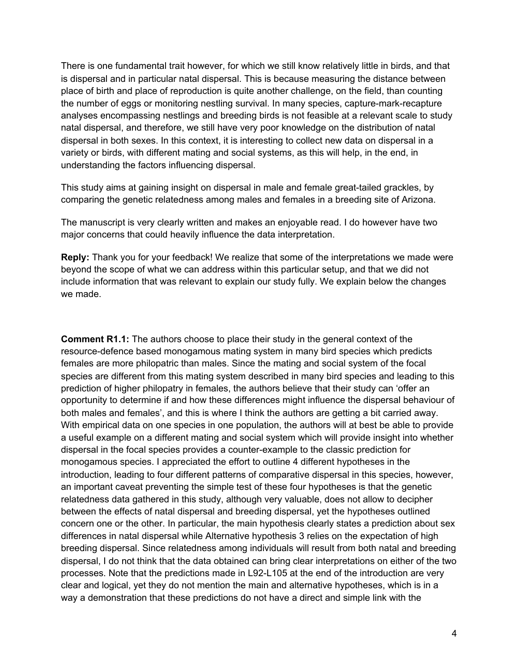There is one fundamental trait however, for which we still know relatively little in birds, and that is dispersal and in particular natal dispersal. This is because measuring the distance between place of birth and place of reproduction is quite another challenge, on the field, than counting the number of eggs or monitoring nestling survival. In many species, capture-mark-recapture analyses encompassing nestlings and breeding birds is not feasible at a relevant scale to study natal dispersal, and therefore, we still have very poor knowledge on the distribution of natal dispersal in both sexes. In this context, it is interesting to collect new data on dispersal in a variety or birds, with different mating and social systems, as this will help, in the end, in understanding the factors influencing dispersal.

This study aims at gaining insight on dispersal in male and female great-tailed grackles, by comparing the genetic relatedness among males and females in a breeding site of Arizona.

The manuscript is very clearly written and makes an enjoyable read. I do however have two major concerns that could heavily influence the data interpretation.

**Reply:** Thank you for your feedback! We realize that some of the interpretations we made were beyond the scope of what we can address within this particular setup, and that we did not include information that was relevant to explain our study fully. We explain below the changes we made.

**Comment R1.1:** The authors choose to place their study in the general context of the resource-defence based monogamous mating system in many bird species which predicts females are more philopatric than males. Since the mating and social system of the focal species are different from this mating system described in many bird species and leading to this prediction of higher philopatry in females, the authors believe that their study can 'offer an opportunity to determine if and how these differences might influence the dispersal behaviour of both males and females', and this is where I think the authors are getting a bit carried away. With empirical data on one species in one population, the authors will at best be able to provide a useful example on a different mating and social system which will provide insight into whether dispersal in the focal species provides a counter-example to the classic prediction for monogamous species. I appreciated the effort to outline 4 different hypotheses in the introduction, leading to four different patterns of comparative dispersal in this species, however, an important caveat preventing the simple test of these four hypotheses is that the genetic relatedness data gathered in this study, although very valuable, does not allow to decipher between the effects of natal dispersal and breeding dispersal, yet the hypotheses outlined concern one or the other. In particular, the main hypothesis clearly states a prediction about sex differences in natal dispersal while Alternative hypothesis 3 relies on the expectation of high breeding dispersal. Since relatedness among individuals will result from both natal and breeding dispersal, I do not think that the data obtained can bring clear interpretations on either of the two processes. Note that the predictions made in L92-L105 at the end of the introduction are very clear and logical, yet they do not mention the main and alternative hypotheses, which is in a way a demonstration that these predictions do not have a direct and simple link with the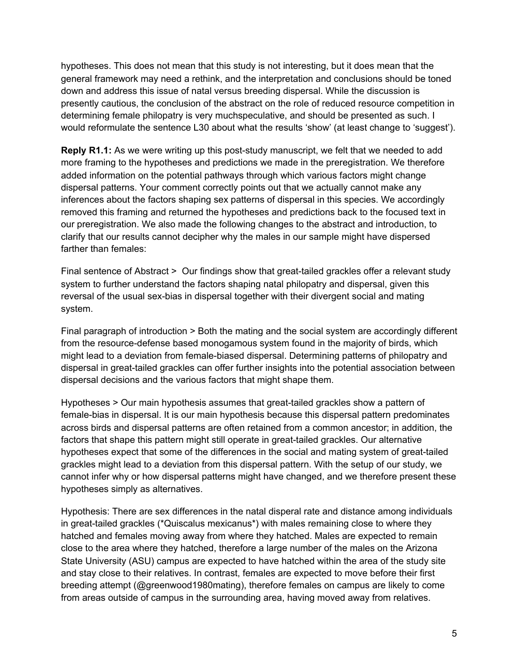hypotheses. This does not mean that this study is not interesting, but it does mean that the general framework may need a rethink, and the interpretation and conclusions should be toned down and address this issue of natal versus breeding dispersal. While the discussion is presently cautious, the conclusion of the abstract on the role of reduced resource competition in determining female philopatry is very muchspeculative, and should be presented as such. I would reformulate the sentence L30 about what the results 'show' (at least change to 'suggest').

**Reply R1.1:** As we were writing up this post-study manuscript, we felt that we needed to add more framing to the hypotheses and predictions we made in the preregistration. We therefore added information on the potential pathways through which various factors might change dispersal patterns. Your comment correctly points out that we actually cannot make any inferences about the factors shaping sex patterns of dispersal in this species. We accordingly removed this framing and returned the hypotheses and predictions back to the focused text in our preregistration. We also made the following changes to the abstract and introduction, to clarify that our results cannot decipher why the males in our sample might have dispersed farther than females:

Final sentence of Abstract > Our findings show that great-tailed grackles offer a relevant study system to further understand the factors shaping natal philopatry and dispersal, given this reversal of the usual sex-bias in dispersal together with their divergent social and mating system.

Final paragraph of introduction > Both the mating and the social system are accordingly different from the resource-defense based monogamous system found in the majority of birds, which might lead to a deviation from female-biased dispersal. Determining patterns of philopatry and dispersal in great-tailed grackles can offer further insights into the potential association between dispersal decisions and the various factors that might shape them.

Hypotheses > Our main hypothesis assumes that great-tailed grackles show a pattern of female-bias in dispersal. It is our main hypothesis because this dispersal pattern predominates across birds and dispersal patterns are often retained from a common ancestor; in addition, the factors that shape this pattern might still operate in great-tailed grackles. Our alternative hypotheses expect that some of the differences in the social and mating system of great-tailed grackles might lead to a deviation from this dispersal pattern. With the setup of our study, we cannot infer why or how dispersal patterns might have changed, and we therefore present these hypotheses simply as alternatives.

Hypothesis: There are sex differences in the natal disperal rate and distance among individuals in great-tailed grackles (\*Quiscalus mexicanus\*) with males remaining close to where they hatched and females moving away from where they hatched. Males are expected to remain close to the area where they hatched, therefore a large number of the males on the Arizona State University (ASU) campus are expected to have hatched within the area of the study site and stay close to their relatives. In contrast, females are expected to move before their first breeding attempt (@greenwood1980mating), therefore females on campus are likely to come from areas outside of campus in the surrounding area, having moved away from relatives.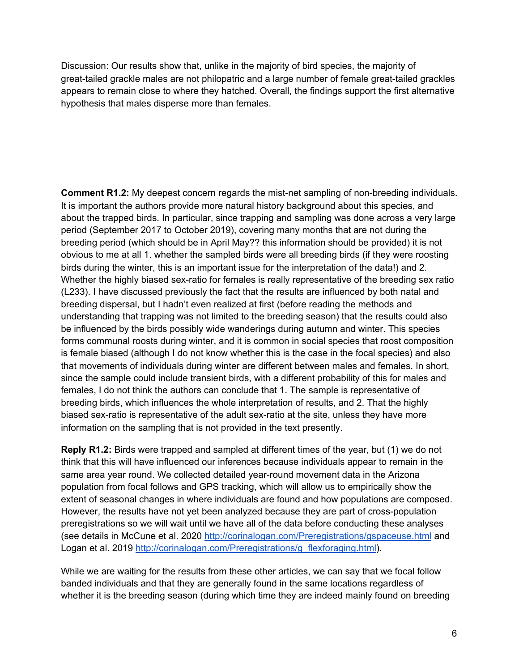Discussion: Our results show that, unlike in the majority of bird species, the majority of great-tailed grackle males are not philopatric and a large number of female great-tailed grackles appears to remain close to where they hatched. Overall, the findings support the first alternative hypothesis that males disperse more than females.

**Comment R1.2:** My deepest concern regards the mist-net sampling of non-breeding individuals. It is important the authors provide more natural history background about this species, and about the trapped birds. In particular, since trapping and sampling was done across a very large period (September 2017 to October 2019), covering many months that are not during the breeding period (which should be in April May?? this information should be provided) it is not obvious to me at all 1. whether the sampled birds were all breeding birds (if they were roosting birds during the winter, this is an important issue for the interpretation of the data!) and 2. Whether the highly biased sex-ratio for females is really representative of the breeding sex ratio (L233). I have discussed previously the fact that the results are influenced by both natal and breeding dispersal, but I hadn't even realized at first (before reading the methods and understanding that trapping was not limited to the breeding season) that the results could also be influenced by the birds possibly wide wanderings during autumn and winter. This species forms communal roosts during winter, and it is common in social species that roost composition is female biased (although I do not know whether this is the case in the focal species) and also that movements of individuals during winter are different between males and females. In short, since the sample could include transient birds, with a different probability of this for males and females, I do not think the authors can conclude that 1. The sample is representative of breeding birds, which influences the whole interpretation of results, and 2. That the highly biased sex-ratio is representative of the adult sex-ratio at the site, unless they have more information on the sampling that is not provided in the text presently.

**Reply R1.2:** Birds were trapped and sampled at different times of the year, but (1) we do not think that this will have influenced our inferences because individuals appear to remain in the same area year round. We collected detailed year-round movement data in the Arizona population from focal follows and GPS tracking, which will allow us to empirically show the extent of seasonal changes in where individuals are found and how populations are composed. However, the results have not yet been analyzed because they are part of cross-population preregistrations so we will wait until we have all of the data before conducting these analyses (see details in McCune et al. 2020 <http://corinalogan.com/Preregistrations/gspaceuse.html> [and](http://corinalogan.com/Preregistrations/gspaceuse.html) Logan et al. 2019 [http://corinalogan.com/Preregistrations/g\\_flexforaging.html](http://corinalogan.com/Preregistrations/g_flexforaging.html)).

While we are waiting for the results from these other articles, we can say that we focal follow banded individuals and that they are generally found in the same locations regardless of whether it is the breeding season (during which time they are indeed mainly found on breeding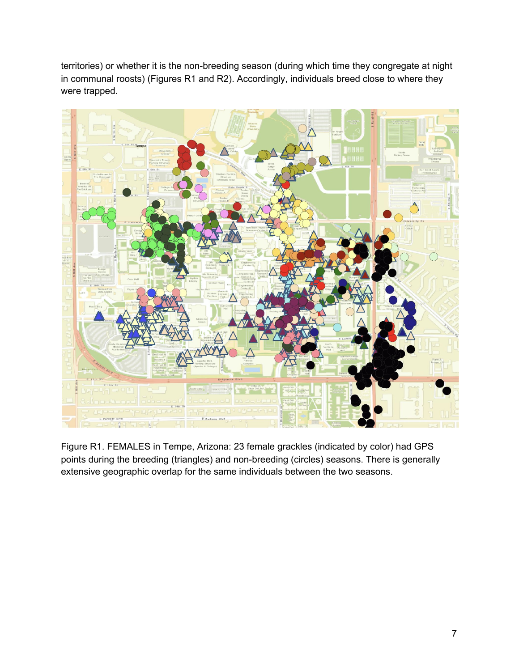territories) or whether it is the non-breeding season (during which time they congregate at night in communal roosts) (Figures R1 and R2). Accordingly, individuals breed close to where they were trapped.



Figure R1. FEMALES in Tempe, Arizona: 23 female grackles (indicated by color) had GPS points during the breeding (triangles) and non-breeding (circles) seasons. There is generally extensive geographic overlap for the same individuals between the two seasons.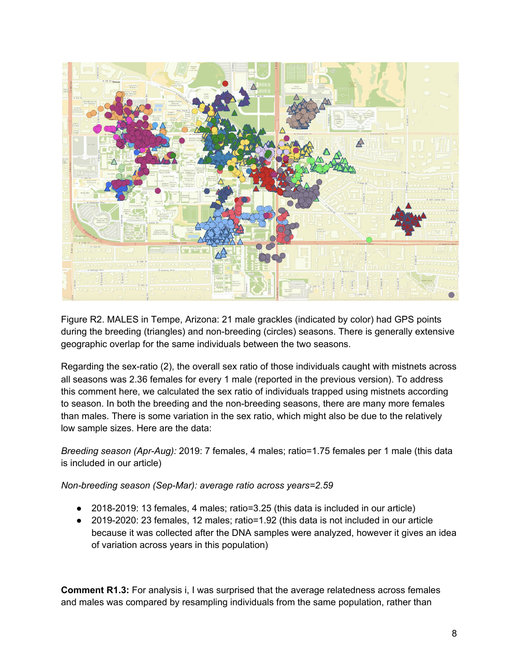

Figure R2. MALES in Tempe, Arizona: 21 male grackles (indicated by color) had GPS points during the breeding (triangles) and non-breeding (circles) seasons. There is generally extensive geographic overlap for the same individuals between the two seasons.

Regarding the sex-ratio (2), the overall sex ratio of those individuals caught with mistnets across all seasons was 2.36 females for every 1 male (reported in the previous version). To address this comment here, we calculated the sex ratio of individuals trapped using mistnets according to season. In both the breeding and the non-breeding seasons, there are many more females than males. There is some variation in the sex ratio, which might also be due to the relatively low sample sizes. Here are the data:

*Breeding season (Apr-Aug):* 2019: 7 females, 4 males; ratio=1.75 females per 1 male (this data is included in our article)

*Non-breeding season (Sep-Mar): average ratio across years=2.59*

- 2018-2019: 13 females, 4 males; ratio=3.25 (this data is included in our article)
- 2019-2020: 23 females, 12 males; ratio=1.92 (this data is not included in our article because it was collected after the DNA samples were analyzed, however it gives an idea of variation across years in this population)

**Comment R1.3:** For analysis i, I was surprised that the average relatedness across females and males was compared by resampling individuals from the same population, rather than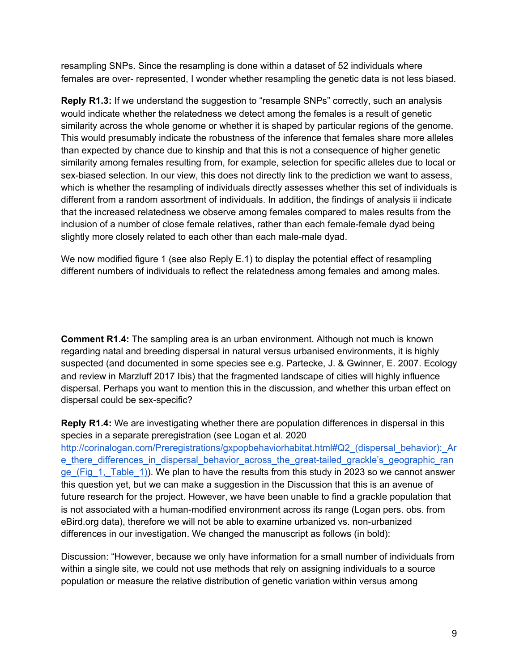resampling SNPs. Since the resampling is done within a dataset of 52 individuals where females are over- represented, I wonder whether resampling the genetic data is not less biased.

**Reply R1.3:** If we understand the suggestion to "resample SNPs" correctly, such an analysis would indicate whether the relatedness we detect among the females is a result of genetic similarity across the whole genome or whether it is shaped by particular regions of the genome. This would presumably indicate the robustness of the inference that females share more alleles than expected by chance due to kinship and that this is not a consequence of higher genetic similarity among females resulting from, for example, selection for specific alleles due to local or sex-biased selection. In our view, this does not directly link to the prediction we want to assess, which is whether the resampling of individuals directly assesses whether this set of individuals is different from a random assortment of individuals. In addition, the findings of analysis ii indicate that the increased relatedness we observe among females compared to males results from the inclusion of a number of close female relatives, rather than each female-female dyad being slightly more closely related to each other than each male-male dyad.

We now modified figure 1 (see also Reply E.1) to display the potential effect of resampling different numbers of individuals to reflect the relatedness among females and among males.

**Comment R1.4:** The sampling area is an urban environment. Although not much is known regarding natal and breeding dispersal in natural versus urbanised environments, it is highly suspected (and documented in some species see e.g. Partecke, J. & Gwinner, E. 2007. Ecology and review in Marzluff 2017 Ibis) that the fragmented landscape of cities will highly influence dispersal. Perhaps you want to mention this in the discussion, and whether this urban effect on dispersal could be sex-specific?

**Reply R1.4:** We are investigating whether there are population differences in dispersal in this species in a separate preregistration (see Logan et al. 2020 http://corinalogan.com/Preregistrations/gxpopbehaviorhabitat.html#Q2 (dispersal\_behavior): Ar e there differences in dispersal behavior across the great-tailed grackle's geographic ran ge (Fig. 1, Table 1)). We plan to have the results from this study in 2023 so we cannot answer this question yet, but we can make a suggestion in the Discussion that this is an avenue of future research for the project. However, we have been unable to find a grackle population that is not associated with a human-modified environment across its range (Logan pers. obs. from eBird.org data), therefore we will not be able to examine urbanized vs. non-urbanized differences in our investigation. We changed the manuscript as follows (in bold):

Discussion: "However, because we only have information for a small number of individuals from within a single site, we could not use methods that rely on assigning individuals to a source population or measure the relative distribution of genetic variation within versus among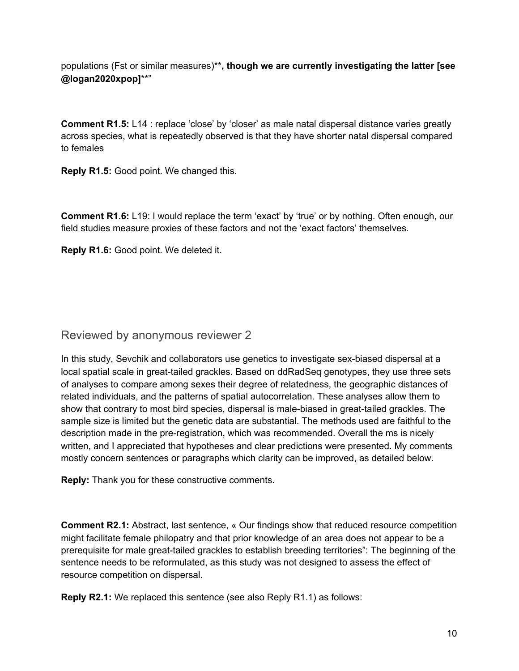populations (Fst or similar measures)\*\***, though we are currently investigating the latter [see @logan2020xpop]**\*\*"

**Comment R1.5:** L14 : replace 'close' by 'closer' as male natal dispersal distance varies greatly across species, what is repeatedly observed is that they have shorter natal dispersal compared to females

**Reply R1.5:** Good point. We changed this.

**Comment R1.6:** L19: I would replace the term 'exact' by 'true' or by nothing. Often enough, our field studies measure proxies of these factors and not the 'exact factors' themselves.

**Reply R1.6:** Good point. We deleted it.

## Reviewed by anonymous reviewer 2

In this study, Sevchik and collaborators use genetics to investigate sex-biased dispersal at a local spatial scale in great-tailed grackles. Based on ddRadSeq genotypes, they use three sets of analyses to compare among sexes their degree of relatedness, the geographic distances of related individuals, and the patterns of spatial autocorrelation. These analyses allow them to show that contrary to most bird species, dispersal is male-biased in great-tailed grackles. The sample size is limited but the genetic data are substantial. The methods used are faithful to the description made in the pre-registration, which was recommended. Overall the ms is nicely written, and I appreciated that hypotheses and clear predictions were presented. My comments mostly concern sentences or paragraphs which clarity can be improved, as detailed below.

**Reply:** Thank you for these constructive comments.

**Comment R2.1:** Abstract, last sentence, « Our findings show that reduced resource competition might facilitate female philopatry and that prior knowledge of an area does not appear to be a prerequisite for male great-tailed grackles to establish breeding territories": The beginning of the sentence needs to be reformulated, as this study was not designed to assess the effect of resource competition on dispersal.

**Reply R2.1:** We replaced this sentence (see also Reply R1.1) as follows: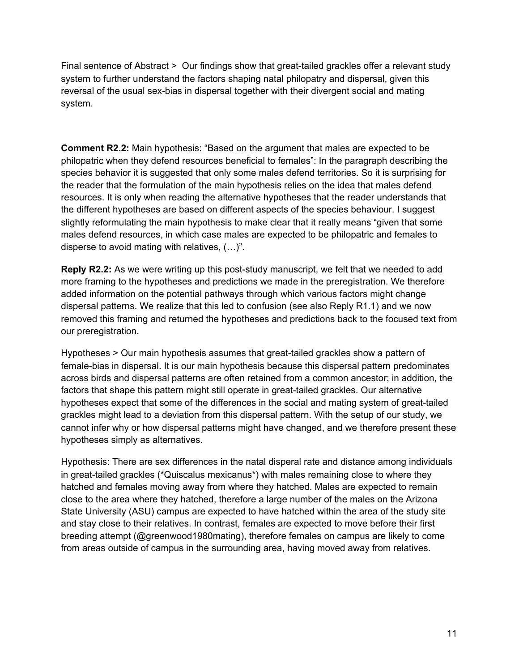Final sentence of Abstract > Our findings show that great-tailed grackles offer a relevant study system to further understand the factors shaping natal philopatry and dispersal, given this reversal of the usual sex-bias in dispersal together with their divergent social and mating system.

**Comment R2.2:** Main hypothesis: "Based on the argument that males are expected to be philopatric when they defend resources beneficial to females": In the paragraph describing the species behavior it is suggested that only some males defend territories. So it is surprising for the reader that the formulation of the main hypothesis relies on the idea that males defend resources. It is only when reading the alternative hypotheses that the reader understands that the different hypotheses are based on different aspects of the species behaviour. I suggest slightly reformulating the main hypothesis to make clear that it really means "given that some males defend resources, in which case males are expected to be philopatric and females to disperse to avoid mating with relatives, (…)".

**Reply R2.2:** As we were writing up this post-study manuscript, we felt that we needed to add more framing to the hypotheses and predictions we made in the preregistration. We therefore added information on the potential pathways through which various factors might change dispersal patterns. We realize that this led to confusion (see also Reply R1.1) and we now removed this framing and returned the hypotheses and predictions back to the focused text from our preregistration.

Hypotheses > Our main hypothesis assumes that great-tailed grackles show a pattern of female-bias in dispersal. It is our main hypothesis because this dispersal pattern predominates across birds and dispersal patterns are often retained from a common ancestor; in addition, the factors that shape this pattern might still operate in great-tailed grackles. Our alternative hypotheses expect that some of the differences in the social and mating system of great-tailed grackles might lead to a deviation from this dispersal pattern. With the setup of our study, we cannot infer why or how dispersal patterns might have changed, and we therefore present these hypotheses simply as alternatives.

Hypothesis: There are sex differences in the natal disperal rate and distance among individuals in great-tailed grackles (\*Quiscalus mexicanus\*) with males remaining close to where they hatched and females moving away from where they hatched. Males are expected to remain close to the area where they hatched, therefore a large number of the males on the Arizona State University (ASU) campus are expected to have hatched within the area of the study site and stay close to their relatives. In contrast, females are expected to move before their first breeding attempt (@greenwood1980mating), therefore females on campus are likely to come from areas outside of campus in the surrounding area, having moved away from relatives.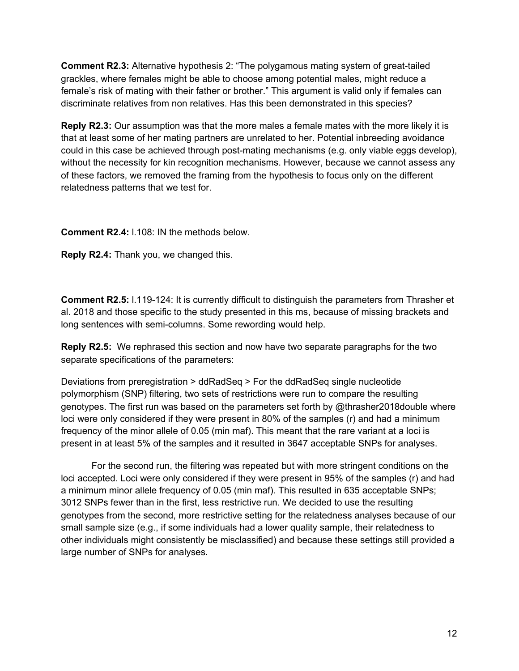**Comment R2.3:** Alternative hypothesis 2: "The polygamous mating system of great-tailed grackles, where females might be able to choose among potential males, might reduce a female's risk of mating with their father or brother." This argument is valid only if females can discriminate relatives from non relatives. Has this been demonstrated in this species?

**Reply R2.3:** Our assumption was that the more males a female mates with the more likely it is that at least some of her mating partners are unrelated to her. Potential inbreeding avoidance could in this case be achieved through post-mating mechanisms (e.g. only viable eggs develop), without the necessity for kin recognition mechanisms. However, because we cannot assess any of these factors, we removed the framing from the hypothesis to focus only on the different relatedness patterns that we test for.

**Comment R2.4:** l.108: IN the methods below.

**Reply R2.4:** Thank you, we changed this.

**Comment R2.5:** l.119-124: It is currently difficult to distinguish the parameters from Thrasher et al. 2018 and those specific to the study presented in this ms, because of missing brackets and long sentences with semi-columns. Some rewording would help.

**Reply R2.5:** We rephrased this section and now have two separate paragraphs for the two separate specifications of the parameters:

Deviations from preregistration > ddRadSeq > For the ddRadSeq single nucleotide polymorphism (SNP) filtering, two sets of restrictions were run to compare the resulting genotypes. The first run was based on the parameters set forth by @thrasher2018double where loci were only considered if they were present in 80% of the samples (r) and had a minimum frequency of the minor allele of 0.05 (min maf). This meant that the rare variant at a loci is present in at least 5% of the samples and it resulted in 3647 acceptable SNPs for analyses.

For the second run, the filtering was repeated but with more stringent conditions on the loci accepted. Loci were only considered if they were present in 95% of the samples (r) and had a minimum minor allele frequency of 0.05 (min maf). This resulted in 635 acceptable SNPs; 3012 SNPs fewer than in the first, less restrictive run. We decided to use the resulting genotypes from the second, more restrictive setting for the relatedness analyses because of our small sample size (e.g., if some individuals had a lower quality sample, their relatedness to other individuals might consistently be misclassified) and because these settings still provided a large number of SNPs for analyses.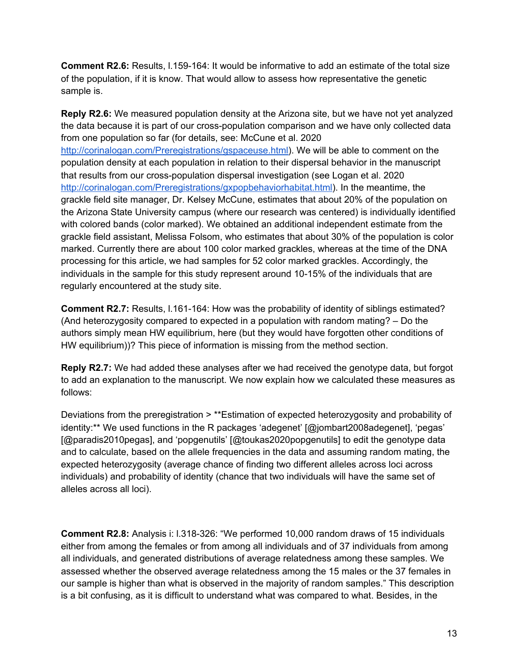**Comment R2.6:** Results, l.159-164: It would be informative to add an estimate of the total size of the population, if it is know. That would allow to assess how representative the genetic sample is.

**Reply R2.6:** We measured population density at the Arizona site, but we have not yet analyzed the data because it is part of our cross-population comparison and we have only collected data from one population so far (for details, see: McCune et al. 2020 <http://corinalogan.com/Preregistrations/gspaceuse.html>). We will be able to comment on the population density at each population in relation to their dispersal behavior in the manuscript that results from our cross-population dispersal investigation (see Logan et al. 2020 <http://corinalogan.com/Preregistrations/gxpopbehaviorhabitat.html>). In the meantime, the grackle field site manager, Dr. Kelsey McCune, estimates that about 20% of the population on the Arizona State University campus (where our research was centered) is individually identified with colored bands (color marked). We obtained an additional independent estimate from the grackle field assistant, Melissa Folsom, who estimates that about 30% of the population is color marked. Currently there are about 100 color marked grackles, whereas at the time of the DNA processing for this article, we had samples for 52 color marked grackles. Accordingly, the individuals in the sample for this study represent around 10-15% of the individuals that are regularly encountered at the study site.

**Comment R2.7:** Results, l.161-164: How was the probability of identity of siblings estimated? (And heterozygosity compared to expected in a population with random mating? – Do the authors simply mean HW equilibrium, here (but they would have forgotten other conditions of HW equilibrium))? This piece of information is missing from the method section.

**Reply R2.7:** We had added these analyses after we had received the genotype data, but forgot to add an explanation to the manuscript. We now explain how we calculated these measures as follows:

Deviations from the preregistration > \*\*Estimation of expected heterozygosity and probability of identity:\*\* We used functions in the R packages 'adegenet' [@jombart2008adegenet], 'pegas' [@paradis2010pegas], and 'popgenutils' [@toukas2020popgenutils] to edit the genotype data and to calculate, based on the allele frequencies in the data and assuming random mating, the expected heterozygosity (average chance of finding two different alleles across loci across individuals) and probability of identity (chance that two individuals will have the same set of alleles across all loci).

**Comment R2.8:** Analysis i: l.318-326: "We performed 10,000 random draws of 15 individuals either from among the females or from among all individuals and of 37 individuals from among all individuals, and generated distributions of average relatedness among these samples. We assessed whether the observed average relatedness among the 15 males or the 37 females in our sample is higher than what is observed in the majority of random samples." This description is a bit confusing, as it is difficult to understand what was compared to what. Besides, in the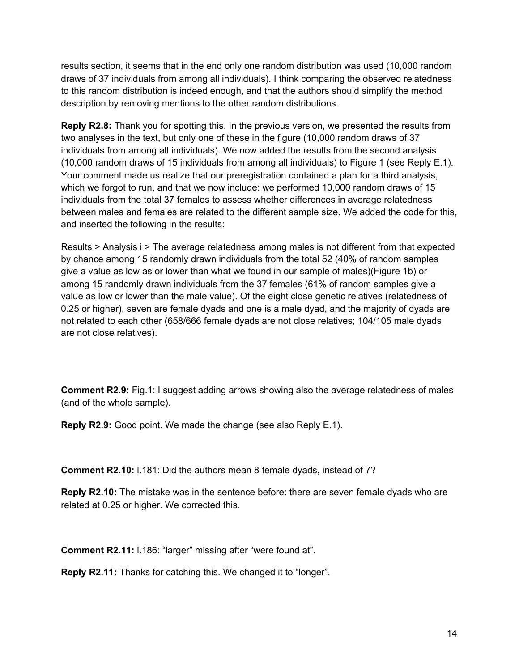results section, it seems that in the end only one random distribution was used (10,000 random draws of 37 individuals from among all individuals). I think comparing the observed relatedness to this random distribution is indeed enough, and that the authors should simplify the method description by removing mentions to the other random distributions.

**Reply R2.8:** Thank you for spotting this. In the previous version, we presented the results from two analyses in the text, but only one of these in the figure (10,000 random draws of 37 individuals from among all individuals). We now added the results from the second analysis (10,000 random draws of 15 individuals from among all individuals) to Figure 1 (see Reply E.1). Your comment made us realize that our preregistration contained a plan for a third analysis, which we forgot to run, and that we now include: we performed 10,000 random draws of 15 individuals from the total 37 females to assess whether differences in average relatedness between males and females are related to the different sample size. We added the code for this, and inserted the following in the results:

Results > Analysis i > The average relatedness among males is not different from that expected by chance among 15 randomly drawn individuals from the total 52 (40% of random samples give a value as low as or lower than what we found in our sample of males)(Figure 1b) or among 15 randomly drawn individuals from the 37 females (61% of random samples give a value as low or lower than the male value). Of the eight close genetic relatives (relatedness of 0.25 or higher), seven are female dyads and one is a male dyad, and the majority of dyads are not related to each other (658/666 female dyads are not close relatives; 104/105 male dyads are not close relatives).

**Comment R2.9:** Fig.1: I suggest adding arrows showing also the average relatedness of males (and of the whole sample).

**Reply R2.9:** Good point. We made the change (see also Reply E.1).

**Comment R2.10:** l.181: Did the authors mean 8 female dyads, instead of 7?

**Reply R2.10:** The mistake was in the sentence before: there are seven female dyads who are related at 0.25 or higher. We corrected this.

**Comment R2.11:** l.186: "larger" missing after "were found at".

**Reply R2.11:** Thanks for catching this. We changed it to "longer".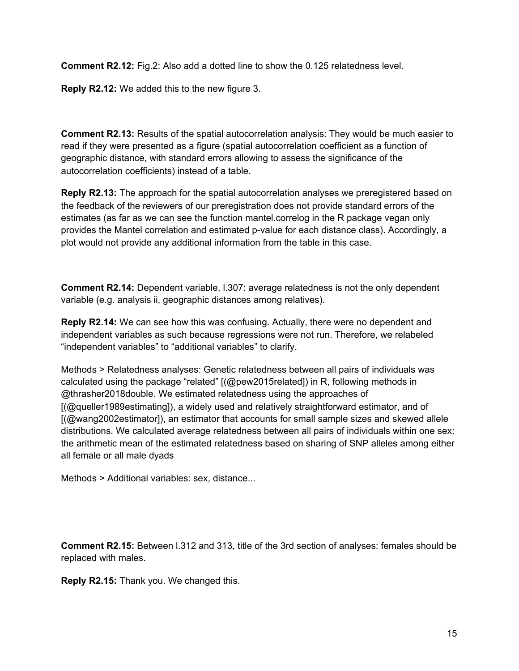**Comment R2.12:** Fig.2: Also add a dotted line to show the 0.125 relatedness level.

**Reply R2.12:** We added this to the new figure 3.

**Comment R2.13:** Results of the spatial autocorrelation analysis: They would be much easier to read if they were presented as a figure (spatial autocorrelation coefficient as a function of geographic distance, with standard errors allowing to assess the significance of the autocorrelation coefficients) instead of a table.

**Reply R2.13:** The approach for the spatial autocorrelation analyses we preregistered based on the feedback of the reviewers of our preregistration does not provide standard errors of the estimates (as far as we can see the function mantel.correlog in the R package vegan only provides the Mantel correlation and estimated p-value for each distance class). Accordingly, a plot would not provide any additional information from the table in this case.

**Comment R2.14:** Dependent variable, l.307: average relatedness is not the only dependent variable (e.g. analysis ii, geographic distances among relatives).

**Reply R2.14:** We can see how this was confusing. Actually, there were no dependent and independent variables as such because regressions were not run. Therefore, we relabeled "independent variables" to "additional variables" to clarify.

Methods > Relatedness analyses: Genetic relatedness between all pairs of individuals was calculated using the package "related" [(@pew2015related]) in R, following methods in @thrasher2018double. We estimated relatedness using the approaches of [(@queller1989estimating]), a widely used and relatively straightforward estimator, and of [(@wang2002estimator]), an estimator that accounts for small sample sizes and skewed allele distributions. We calculated average relatedness between all pairs of individuals within one sex: the arithmetic mean of the estimated relatedness based on sharing of SNP alleles among either all female or all male dyads

Methods > Additional variables: sex, distance...

**Comment R2.15:** Between l.312 and 313, title of the 3rd section of analyses: females should be replaced with males.

**Reply R2.15:** Thank you. We changed this.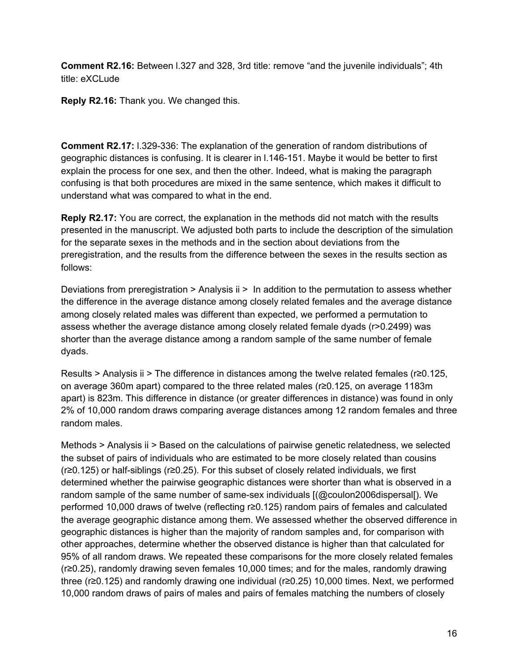**Comment R2.16:** Between l.327 and 328, 3rd title: remove "and the juvenile individuals"; 4th title: eXCLude

**Reply R2.16:** Thank you. We changed this.

**Comment R2.17:** l.329-336: The explanation of the generation of random distributions of geographic distances is confusing. It is clearer in l.146-151. Maybe it would be better to first explain the process for one sex, and then the other. Indeed, what is making the paragraph confusing is that both procedures are mixed in the same sentence, which makes it difficult to understand what was compared to what in the end.

**Reply R2.17:** You are correct, the explanation in the methods did not match with the results presented in the manuscript. We adjusted both parts to include the description of the simulation for the separate sexes in the methods and in the section about deviations from the preregistration, and the results from the difference between the sexes in the results section as follows:

Deviations from preregistration > Analysis ii > In addition to the permutation to assess whether the difference in the average distance among closely related females and the average distance among closely related males was different than expected, we performed a permutation to assess whether the average distance among closely related female dyads (r>0.2499) was shorter than the average distance among a random sample of the same number of female dyads.

Results > Analysis ii > The difference in distances among the twelve related females (r≥0.125, on average 360m apart) compared to the three related males (r≥0.125, on average 1183m apart) is 823m. This difference in distance (or greater differences in distance) was found in only 2% of 10,000 random draws comparing average distances among 12 random females and three random males.

Methods > Analysis ii > Based on the calculations of pairwise genetic relatedness, we selected the subset of pairs of individuals who are estimated to be more closely related than cousins (r≥0.125) or half-siblings (r≥0.25). For this subset of closely related individuals, we first determined whether the pairwise geographic distances were shorter than what is observed in a random sample of the same number of same-sex individuals [(@coulon2006dispersal[). We performed 10,000 draws of twelve (reflecting r≥0.125) random pairs of females and calculated the average geographic distance among them. We assessed whether the observed difference in geographic distances is higher than the majority of random samples and, for comparison with other approaches, determine whether the observed distance is higher than that calculated for 95% of all random draws. We repeated these comparisons for the more closely related females (r≥0.25), randomly drawing seven females 10,000 times; and for the males, randomly drawing three (r≥0.125) and randomly drawing one individual (r≥0.25) 10,000 times. Next, we performed 10,000 random draws of pairs of males and pairs of females matching the numbers of closely